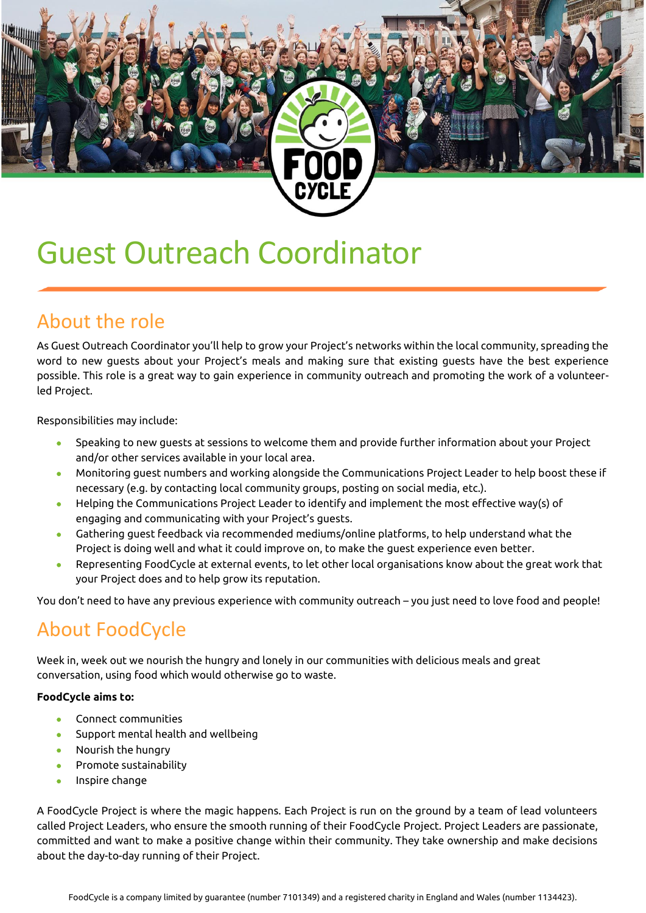# Guest Outreach Coordinator

#### About the role

As Guest Outreach Coordinator you'll help to grow your Project's networks within the local community, spreading the word to new guests about your Project's meals and making sure that existing guests have the best experience possible. This role is a great way to gain experience in community outreach and promoting the work of a volunteerled Project.

Responsibilities may include:

- Speaking to new guests at sessions to welcome them and provide further information about your Project and/or other services available in your local area.
- Monitoring guest numbers and working alongside the Communications Project Leader to help boost these if necessary (e.g. by contacting local community groups, posting on social media, etc.).
- Helping the Communications Project Leader to identify and implement the most effective way(s) of engaging and communicating with your Project's guests.
- Gathering guest feedback via recommended mediums/online platforms, to help understand what the Project is doing well and what it could improve on, to make the guest experience even better.
- Representing FoodCycle at external events, to let other local organisations know about the great work that your Project does and to help grow its reputation.

You don't need to have any previous experience with community outreach – you just need to love food and people!

#### About FoodCycle

Week in, week out we nourish the hungry and lonely in our communities with delicious meals and great conversation, using food which would otherwise go to waste.

#### **FoodCycle aims to:**

- Connect communities
- Support mental health and wellbeing
- Nourish the hungry
- Promote sustainability
- Inspire change

A FoodCycle Project is where the magic happens. Each Project is run on the ground by a team of lead volunteers called Project Leaders, who ensure the smooth running of their FoodCycle Project. Project Leaders are passionate, committed and want to make a positive change within their community. They take ownership and make decisions about the day-to-day running of their Project.